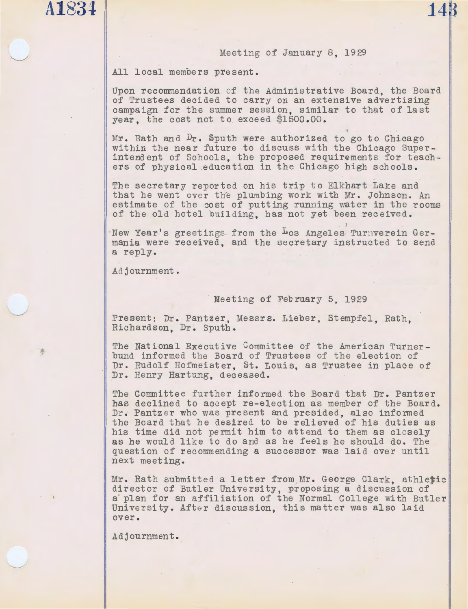# **A 1834 148**

### Meeting of January 8, 1929

All local members present.

Upon recommendation of tbe Administrative Board, tbe Board of Trustees decided to carry on an extensive advertising campaign for the summer session, similar to that of last year, the cost not to exceed \$1500.00.

Mr. Rath and  $Dr$ . Sputh were authorized to go to Chicago within the near future to discuss with the Chicago Superintendent of Schools, the proposed requirements for teachers of physical education in the Chicago high schools.

The secretary reported on his trip to Elkhart Lake and that he went over the plumbing work with Mr. Johnson. An estimate of the cost of putting running water in the rooms of the old hotel building, has not yet been received.

New Year's greetings from the Los Angeles Turnverein Germania were received, and the secretary instructed to send a reply.

Ad journment.

### Meeting of February 5, 1929

Present: Dr. Pantzer, Messrs. Lieber, Stempfel, Rath, Richardson, Dr. Sputh.

The National Executive Committee of the American Turner-<br>bund informed the Board of Trustees of the election of Dr. Rudolf Hofmeister, St. Louis, as Trustee in place of Dr. Henry Hartung, deceased.

The Committee further informed the Board that Dr. Pantzer has declined to accept re-election as member of the Board. Dr. Pantzer who was present and presided, also informed the Board that he desired to be relieved of his duties as his time did not permit him to attend to them as closely as he would like to do and as he feels he should do. The question of recommending a successor was laid over until next meeting.

Mr. Rath submitted a letter from Mr. George Clark, athletic director of Butler University, proposing a discussion of a plan for an affiliation of the Normal College with Butler University. After discussion, this matter was also laid over.

Adjournment.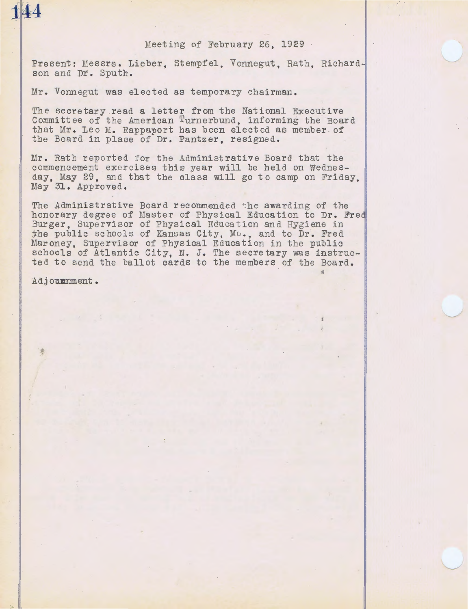### Meeting of February 26, 1929

Present: Messrs. Lieber, Stempfel, Vonnegut, Rath, Richardson and Dr. Sputh.

Mr. Vonnegut was elected as temporary chairman.

The secretary read a letter from the National Executive Committee of tbe American Turnerbund, informing the Board that Mr. Leo M. Rappaport has been elected as member of the Board in place of Dr. Pantzer, resigned.

Mr. Rath reported for the Administrative Board that the commencement exercises this year will be held on Wednesday. May 29, and that the class will go to camp on Friday. May 31. Approved,

The Administrative Board recommended the awarding of the honorary degree of Master of Physical Education to Dr. Fred Burger, Supervisor of Physical Education and Hygiene in the public schools of Kansas City, Mo., and to Dr. Fred Mar oney, Supervisor of Physical Education in the public schools of Atlantic City, N. J. The secretary was instructed to send the ballot cards to the members of the Board.

Adjournment.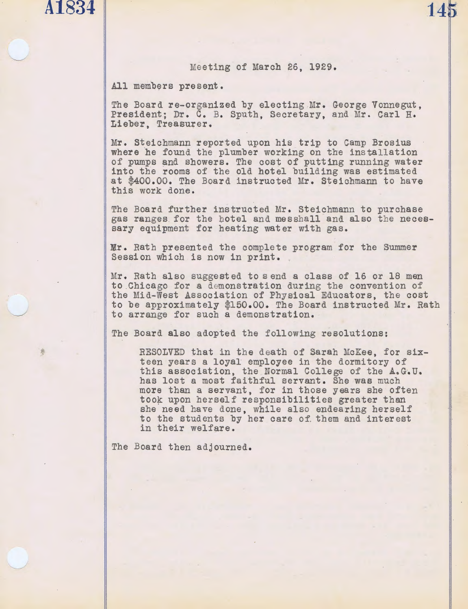A1834

**145** 

All members present.

The Board re-organized by electing Mr. George Vonnegut, President; Dr. c. B. Sputh, Secretary, and Mr. Carl H. Lieber, Treasurer.

Mr. Steichmann reported upon his trip to Camp Brosius where he found the plumber working on the installation of pumps and showers. The cost of putting running water into the rooms of the old hotel building was estimated at \$400.00. The Board instructed Mr. Steichmann to have this work done.

The Board further instructed Mr. Steichmann to purchase gas ranges for the hotel and messhall and also the necessary equipment for heating water with gas.

Mr. Rath presented the complete program for the Summer Session which is now in print.

Mr. Rath also suggested to send a class of 16 or 18 men to Chicago for a demonstration during the convention of the Mid-West Association of Physical Educators, the cost to be approximately \$150.00. The Board instructed Mr. Rath to arrange for such a demonstration.

The Board also adopted the following resolutions:

RESOLVED that in the death of Sarah McKee, for sixteen years a loyal employee in the dormitory of this association, the Normal College of the A.G.U. has lost a most faithful servant. She was much more than a servant, for in those years she often took upon herself responsibilities greater than she need have done, while also endearing herself to the students by her care of them and interest in their welfare.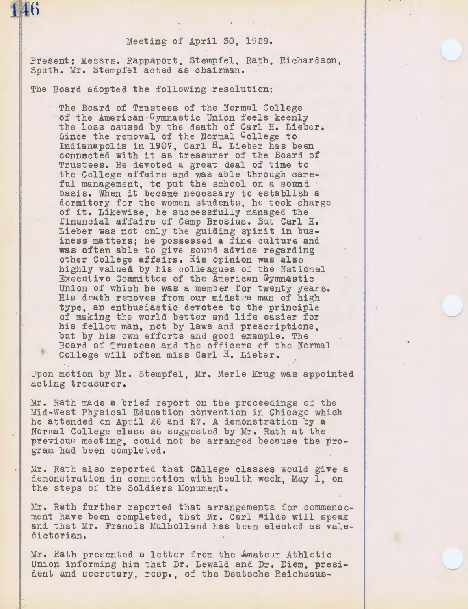### Meeting of April 30, 1929.

Present: Messrs. Rappaport, Stempfel, Rath, Richardson, Sputh. Mr. Stempfel acted as chairman.

The Board adopted the following resolution:

**1kl6** 

The Board of Trustees of the Normal College of the American -Gymnastic Union feels keenly the loss caused by the death of Carl H. Lieber. Since the removal of the Normal College to Indianapolis in 1907, Carl H. Lieber has been connected with it as treasurer of the Board of Trustees. He devoted a great deal of time to the College affairs and was able through careful management, to put the school on a sound basis. When it became necessary to establish a dormitory for the women students, he took charge of it. Likewise, he successfully managed the financial affairs of Camp Brosius. But Carl H. Lieber was not only the guiding spirit in business matters; he possessed a fine culture and was often able to give sound advice regarding other College affairs. His opinion was also highly valued by his colleagues of the National Executive Committee of the American Gymnastic Union of which he was a member for twenty years. His death removes from our midstra man of high type, an enthusiastic devotee to the principle of making the world better and life easier for his fellow man, not by laws and prescriptions, but by his own efforts and good example. The Board of Trustees and the officers of the Normal College will often miss Carl H. Lieber.

Upon motion by Mr. Stempfel, Mr. Merle Krug was appointed acting treasurer.

Mr. Rath made a brief report on the proceedings of the :Mid-West Physical Education convention in Chicago which he attended on April 26 and 27. A demonstration by a Normal College class as suggested by Mr. Rath at the previous meeting, could not be arranged because the program had been completed.

Mr. Rath also reported that College classes would give a demonstration in connection with health week, May 1, on the steps *oi* the Soldiers Monument.

Mr. Rath further reported that arrangements for commencement have been completed, that Mr. Carl Wilde will speak and that Mr. Francis Mulholland has been elected as valedictorian.

Mr. Rath presented a letter from the Amateur Athletic Union informing him that Dr. Lewald and Dr. Diem, president and secretary, resp., of the Deutsche Reichsaus-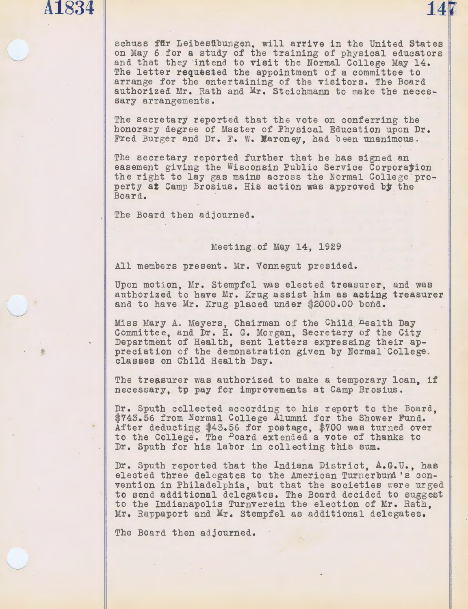## **A1834** 14 **14**

schuss fftr Leibesftbungen, will arrive in the United States on May 6 for a study of the training of physical educators and that they intend to visit the Normal College May 14. The letter requested the appointment of a committee to arrange for the entertaining of the visitors. The Board authorized Mr. Rath and Mr. Steichmann to make the necessary arrangements.

The secretary reported that the vote on conferring the honorary degree of Master of Physical Education upon Dr. Fred Burger and Dr. F. w. Maroney, had been unanimous.

The secretary reported further that he bas signed an easement giving the Wisconsin Public Service Corporayion the right to lay gas mains across the Normal College property at Camp Brosius. His action was approved by the Board.

The Board then adjourned.

### Meeting.of May 14, 1929

All members present. Mr. Vonnegut presided.

Upon motion, Mr. Stempfel was elected treasurer, and was authorized to have Mr. Krug assist him as acting treasurer and to have Mr. Krug placed under \$2000.00 bond.

Miss Mary A. Meyers, Chairman of the Child <sup>n</sup>ealth Day Committee, and Dr. H. G. Morgan, Secretary of the City Department of Health, sent letters expressing their appreciation of the demonstration given by Normal College. classes on Child Health Day.

The treasurer was authorized to make a temporary loan, if necessary, tp pay for improvements at Camp Brosius.

Dr. Sputh collected according to his report to the Board, \$743.56 from Normal College Alumni for the Shower Fund. After deductiqg \$43.56 for postage, \$700 was tur ned over to the College. The <sup>B</sup>oard extended a vote of thanks to Dr. Sputh for his labor in collecting this sum.

Dr. Sputh reported that the Indiana District, A.G.U., bas elected three delegates to the American Turnerbund's convention in Philadelphia, but that the societies were urged to send additional delegates. The Board decided to suggest to the Indianapolis Turnverein the election of Mr. Rath, Mr. Rappaport and Mr. Stempfel as additional delegates.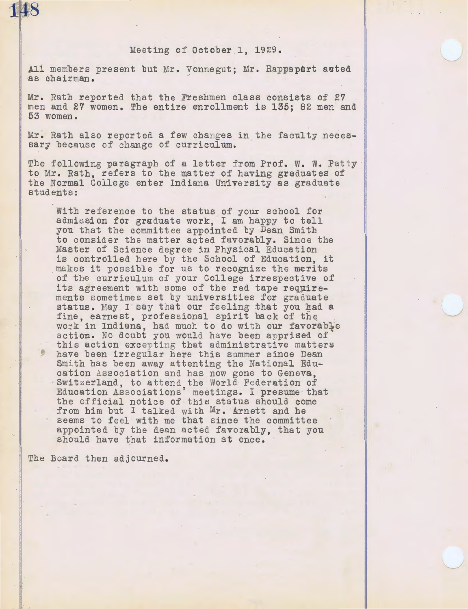## **1k18**

### Meeting of October 1, 1929.

All members present but Mr. Vonnegut; Mr. Rappaport auted as chairman. ·

Mr. Rath reported that the Freshmen class consists of 27 men and 27 women. The entire enrollment is 135; 82 men and 53 women.

Mr. Rath also reported a few changes in the faculty necessary because of change of curriculum.

The following paragraph of a letter from Prof. W. W. Patty to Mr. Rath, refers to the matter of having graduates of the Normal College enter Indiana University as graduate students:

With reference to the status of your school for admission for graduate work, I am happy to tell you that the committee appointed by Dean Smith to consider the matter acted favorably. Since the Master of Science degree in Physical Education is controlled here by the School of Education, it makes it possible for us to recognize the merits of the curriculum of your College irrespective of its agreement with some of the red tape requirements sometimes set by universities for graduate status. May I say that our feeling that you had a fine, earnest, professional spirit back of the work in Indiana, had much to do with our favorable action. No doubt you would have been apprised of this action excepting that administrative matters **have been irregular here this summer since Dean** Smith has been away attenting the National Edu-<br>cation Association and has now gone to Geneva, Switzerland, to attend the World Federation of Education Associations' meetings. I presume that the official notice of tbis status should come from him but I talked with Mr. Arnett and he seems to feel witb me that since the committee appointed by the dean acted favorably, that you should have that information at once.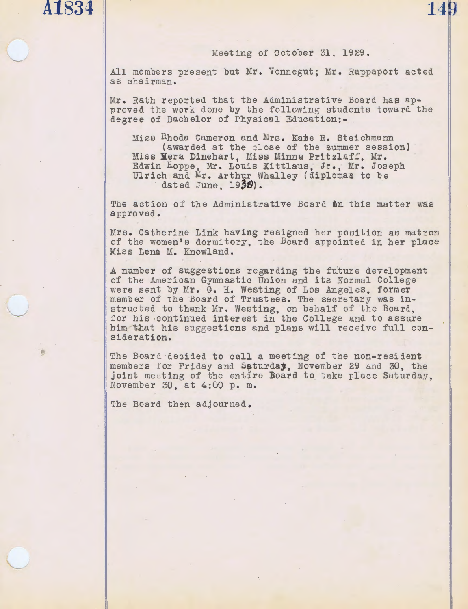## **A1834** 14 **14 14**

### Meeting of October 31, 1929.

All me mbers pre sent but Mr. Vonnegut; Mr. Rappaport acted as chairman.

Mr. Rath reported that the Administrative Board has approved the work done by the following students toward the degree of Bachelor of Physical Education:-

Miss Rhoda Cameron and Mrs. Kate R. Steichmann (awarded at the close of the summer session) Miss Mera Dinehart, Miss Minna Pritzlaff, Mr. Edwin Hoppe, Mr. Louis Kittlaus, Jr., Mr. Joseph Ulrich and Mr. Arthur Whalley (diplomas to be dated June, 1930).

The action of the Administrative Board on this matter was approved.

Mrs. Catherine Link having resigned her position as matron of the women's dormitory, the Board appointed in her place Miss Lena M. Knowland.

A number of suggestions regarding the future development of the American Gymnastic Union and its Normal College were sent by Mr. G. H. Westing of Los Angeles, former member of the Board of Trustees. The secretary was instructed to thank Mr. Westing, on behalf of the Board, for his ·Continued interest in the College and to assure him that his suggestions and plans will receive full consideration.

The Board decided to call a meeting of the non-resident members for Friday and Saturday, November 29 and 30, the joint meeting of the entire Board to take place Saturday,<br>November 30, at 4:00 p. m.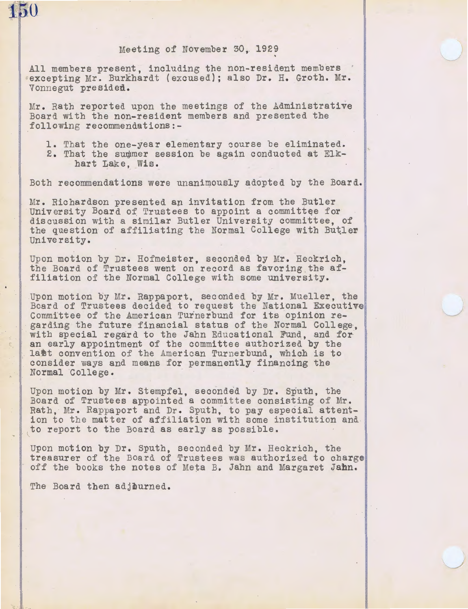

### Meeting of November 30, 192?

All members present, including the non-resident members excepting Mr. Burkhardt (excused); also Dr. H. Groth. Mr. Vonnegut presided.

Mr. Rath reported upon the meetings of the Administrative Board with the non-resident members and presented the following recommendations:-

- 1. That the one-year elementary course be eliminated.
- 2. That the summer session be again conducted at Elkhart Lake, Wis.

Both recommendations were unanimously adopted by the Board.

Mr. Richardson presented an invitation from the Butler University Board of Trustees to appoint a committee for discussion with a similar Butler University committee, of the question of affiliating the Normal College with Butler University.

Upon motion by Dr. Hofmeister, seconded by Mr. Heckrich, the Board of Trustees went on record as favoring the affiliation of the Normal College with some university.

Upon motion by Mr. Rappaport, seconded by Mr. Mueller, the Board of Trustees decided to request the National Executive Committee of the American Turnerbund for its opinion regarding the future financial status of the Normal College, with special regard to the Jahn Educational Fund, and for an early appointment of the committee authorized by the last convention of the American Turnerbund, which is to consider ways and means for permanently financing the Normal College.

Upon motion by Mr. Stempfel, seconded by Dr. Sputb, the Board of Trustees appointed a committee consisting of Mr. Rath, Mr. Rappaport and Dr. Sputh, to pay especial attention to the matter of affiliation with some institution and to report to the Board as early as possible.

Upon motion by Dr. Sputh, seconded by Mr. Heckrich, the treasurer of the Board of Trustees was authorized to charge off the books the notes of Meta B. Jahn and Margaret Jahn.